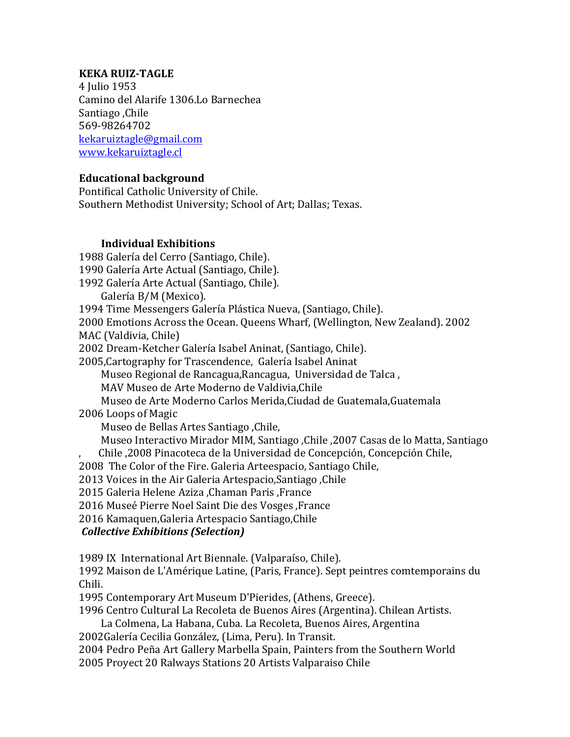## **KEKA RUIZ-TAGLE**

4 **Julio** 1953 Camino del Alarife 1306.Lo Barnechea Santiago ,Chile 569-98264702 kekaruiztagle@gmail.com www.kekaruiztagle.cl

## **Educational background**

Pontifical Catholic University of Chile. Southern Methodist University; School of Art; Dallas; Texas.

## **Individual Exhibitions**

1988 Galería del Cerro (Santiago, Chile).

1990 Galería Arte Actual (Santiago, Chile).

1992 Galería Arte Actual (Santiago, Chile).

Galería B/M (Mexico).

1994 Time Messengers Galería Plástica Nueva, (Santiago, Chile).

2000 Emotions Across the Ocean. Queens Wharf, (Wellington, New Zealand). 2002

MAC (Valdivia, Chile)

2002 Dream-Ketcher Galería Isabel Aninat, (Santiago, Chile).

2005, Cartography for Trascendence, Galería Isabel Aninat

Museo Regional de Rancagua, Rancagua, Universidad de Talca,

MAV Museo de Arte Moderno de Valdivia.Chile

Museo de Arte Moderno Carlos Merida, Ciudad de Guatemala, Guatemala

2006 Loops of Magic

Museo de Bellas Artes Santiago, Chile,

Museo Interactivo Mirador MIM, Santiago ,Chile ,2007 Casas de lo Matta, Santiago Chile ,2008 Pinacoteca de la Universidad de Concepción, Concepción Chile,

2008 The Color of the Fire. Galeria Arteespacio, Santiago Chile,

2013 Voices in the Air Galeria Artespacio,Santiago ,Chile 

2015 Galeria Helene Aziza ,Chaman Paris ,France

2016 Museé Pierre Noel Saint Die des Vosges ,France

2016 Kamaquen,Galeria Artespacio Santiago,Chile

## *Collective Exhibitions (Selection)*

1989 IX International Art Biennale. (Valparaíso, Chile).

1992 Maison de L'Amérique Latine, (Paris, France). Sept peintres comtemporains du Chili.

1995 Contemporary Art Museum D'Pierides, (Athens, Greece).

1996 Centro Cultural La Recoleta de Buenos Aires (Argentina). Chilean Artists.

La Colmena, La Habana, Cuba. La Recoleta, Buenos Aires, Argentina

2002Galería Cecilia González, (Lima, Peru). In Transit.

2004 Pedro Peña Art Gallery Marbella Spain, Painters from the Southern World

2005 Proyect 20 Ralways Stations 20 Artists Valparaiso Chile